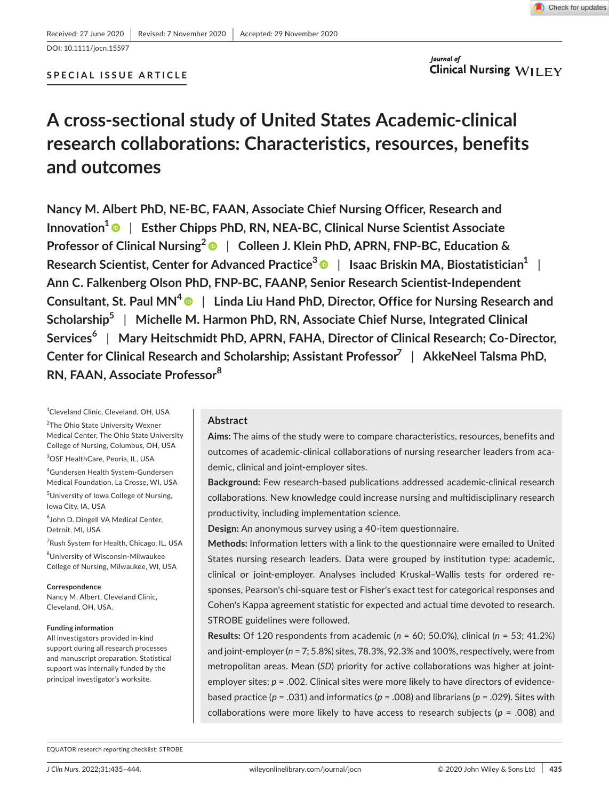

### **SPECIAL ISSUE ARTICLE**

Journal of **Clinical Nursing WILEY** 

## **A cross-sectional study of United States Academic-clinical research collaborations: Characteristics, resources, benefits and outcomes**

**Nancy M. Albert PhD, NE-BC, FAAN, Associate Chief Nursing Officer, Research and Innovation<sup>1</sup> | Esther Chipps PhD, RN, NEA-BC, Clinical Nurse Scientist Associate Professor of Clinical Nursing<sup>2</sup>** | **Colleen J. Klein PhD, APRN, FNP-BC, Education & Research Scientist, Center for Advanced Practice[3](https://orcid.org/0000-0002-9666-5837)** | **Isaac Briskin MA, Biostatistician1** | **Ann C. Falkenberg Olson PhD, FNP-BC, FAANP, Senior Research Scientist-Independent Consultant, St. Paul MN[4](https://orcid.org/0000-0001-9752-0667)** | **Linda Liu Hand PhD, Director, Office for Nursing Research and Scholarship<sup>5</sup>** | **Michelle M. Harmon PhD, RN, Associate Chief Nurse, Integrated Clinical Services<sup>6</sup>** | **Mary Heitschmidt PhD, APRN, FAHA, Director of Clinical Research; Co-Director, Center for Clinical Research and Scholarship; Assistant Professor7** | **AkkeNeel Talsma PhD, RN, FAAN, Associate Professor<sup>8</sup>**

1 Cleveland Clinic, Cleveland, OH, USA

<sup>2</sup>The Ohio State University Wexner Medical Center, The Ohio State University College of Nursing, Columbus, OH, USA

3 OSF HealthCare, Peoria, IL, USA

4 Gundersen Health System-Gundersen Medical Foundation, La Crosse, WI, USA

5 University of Iowa College of Nursing, Iowa City, IA, USA

6 John D. Dingell VA Medical Center, Detroit, MI, USA

7 Rush System for Health, Chicago, IL, USA

8 University of Wisconsin-Milwaukee College of Nursing, Milwaukee, WI, USA

#### **Correspondence**

Nancy M. Albert, Cleveland Clinic, Cleveland, OH, USA.

#### **Funding information**

All investigators provided in-kind support during all research processes and manuscript preparation. Statistical support was internally funded by the principal investigator's worksite.

#### **Abstract**

**Aims:** The aims of the study were to compare characteristics, resources, benefits and outcomes of academic-clinical collaborations of nursing researcher leaders from academic, clinical and joint-employer sites.

**Background:** Few research-based publications addressed academic-clinical research collaborations. New knowledge could increase nursing and multidisciplinary research productivity, including implementation science.

**Design:** An anonymous survey using a 40-item questionnaire.

**Methods:** Information letters with a link to the questionnaire were emailed to United States nursing research leaders. Data were grouped by institution type: academic, clinical or joint-employer. Analyses included Kruskal–Wallis tests for ordered responses, Pearson's chi-square test or Fisher's exact test for categorical responses and Cohen's Kappa agreement statistic for expected and actual time devoted to research. STROBE guidelines were followed.

**Results:** Of 120 respondents from academic (*n* = 60; 50.0%), clinical (*n* = 53; 41.2%) and joint-employer (*n* = 7; 5.8%) sites, 78.3%, 92.3% and 100%, respectively, were from metropolitan areas. Mean (*SD*) priority for active collaborations was higher at jointemployer sites; *p* = .002. Clinical sites were more likely to have directors of evidencebased practice (*p* = .031) and informatics (*p* = .008) and librarians (*p* = .029). Sites with collaborations were more likely to have access to research subjects (*p* = .008) and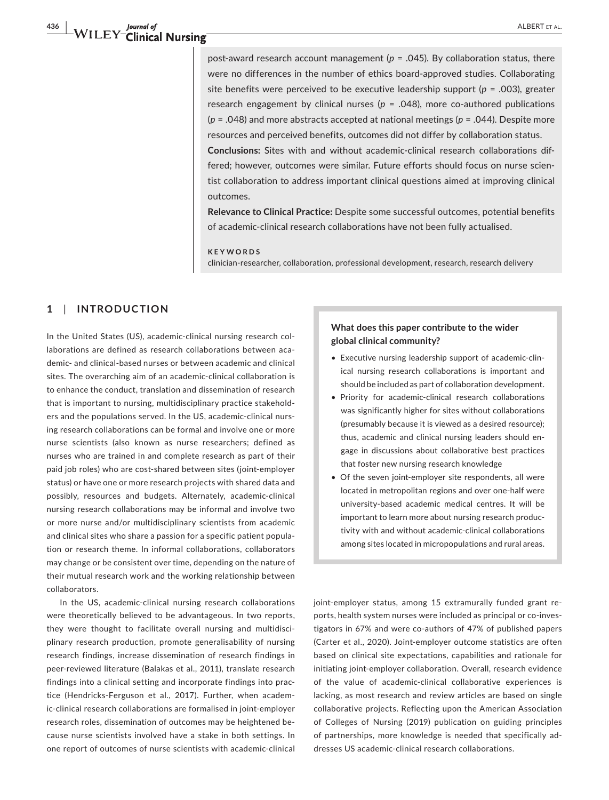post-award research account management (*p* = .045). By collaboration status, there were no differences in the number of ethics board-approved studies. Collaborating site benefits were perceived to be executive leadership support (*p* = .003), greater research engagement by clinical nurses (*p* = .048), more co-authored publications (*p* = .048) and more abstracts accepted at national meetings (*p* = .044). Despite more resources and perceived benefits, outcomes did not differ by collaboration status.

**Conclusions:** Sites with and without academic-clinical research collaborations differed; however, outcomes were similar. Future efforts should focus on nurse scientist collaboration to address important clinical questions aimed at improving clinical outcomes.

**Relevance to Clinical Practice:** Despite some successful outcomes, potential benefits of academic-clinical research collaborations have not been fully actualised.

**KEYWORDS**

clinician-researcher, collaboration, professional development, research, research delivery

## **1**  | **INTRODUCTION**

In the United States (US), academic-clinical nursing research collaborations are defined as research collaborations between academic- and clinical-based nurses or between academic and clinical sites. The overarching aim of an academic-clinical collaboration is to enhance the conduct, translation and dissemination of research that is important to nursing, multidisciplinary practice stakeholders and the populations served. In the US, academic-clinical nursing research collaborations can be formal and involve one or more nurse scientists (also known as nurse researchers; defined as nurses who are trained in and complete research as part of their paid job roles) who are cost-shared between sites (joint-employer status) or have one or more research projects with shared data and possibly, resources and budgets. Alternately, academic-clinical nursing research collaborations may be informal and involve two or more nurse and/or multidisciplinary scientists from academic and clinical sites who share a passion for a specific patient population or research theme. In informal collaborations, collaborators may change or be consistent over time, depending on the nature of their mutual research work and the working relationship between collaborators.

In the US, academic-clinical nursing research collaborations were theoretically believed to be advantageous. In two reports, they were thought to facilitate overall nursing and multidisciplinary research production, promote generalisability of nursing research findings, increase dissemination of research findings in peer-reviewed literature (Balakas et al., 2011), translate research findings into a clinical setting and incorporate findings into practice (Hendricks-Ferguson et al., 2017). Further, when academic-clinical research collaborations are formalised in joint-employer research roles, dissemination of outcomes may be heightened because nurse scientists involved have a stake in both settings. In one report of outcomes of nurse scientists with academic-clinical

### **What does this paper contribute to the wider global clinical community?**

- Executive nursing leadership support of academic-clinical nursing research collaborations is important and should be included as part of collaboration development.
- Priority for academic-clinical research collaborations was significantly higher for sites without collaborations (presumably because it is viewed as a desired resource); thus, academic and clinical nursing leaders should engage in discussions about collaborative best practices that foster new nursing research knowledge
- Of the seven joint-employer site respondents, all were located in metropolitan regions and over one-half were university-based academic medical centres. It will be important to learn more about nursing research productivity with and without academic-clinical collaborations among sites located in micropopulations and rural areas.

joint-employer status, among 15 extramurally funded grant reports, health system nurses were included as principal or co-investigators in 67% and were co-authors of 47% of published papers (Carter et al., 2020). Joint-employer outcome statistics are often based on clinical site expectations, capabilities and rationale for initiating joint-employer collaboration. Overall, research evidence of the value of academic-clinical collaborative experiences is lacking, as most research and review articles are based on single collaborative projects. Reflecting upon the American Association of Colleges of Nursing (2019) publication on guiding principles of partnerships, more knowledge is needed that specifically addresses US academic-clinical research collaborations.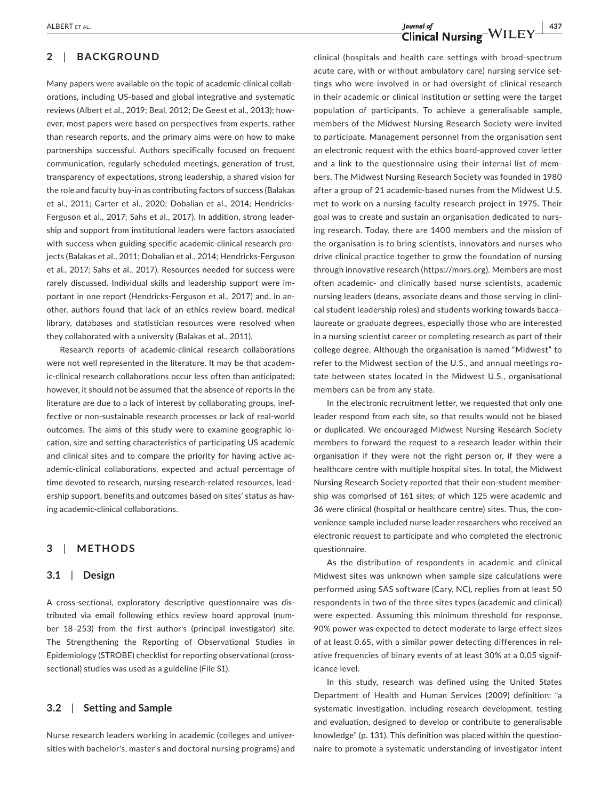## **2**  | **BACKGROUND**

Many papers were available on the topic of academic-clinical collaborations, including US-based and global integrative and systematic reviews (Albert et al., 2019; Beal, 2012; De Geest et al., 2013); however, most papers were based on perspectives from experts, rather than research reports, and the primary aims were on how to make partnerships successful. Authors specifically focused on frequent communication, regularly scheduled meetings, generation of trust, transparency of expectations, strong leadership, a shared vision for the role and faculty buy-in as contributing factors of success (Balakas et al., 2011; Carter et al., 2020; Dobalian et al., 2014; Hendricks-Ferguson et al., 2017; Sahs et al., 2017). In addition, strong leadership and support from institutional leaders were factors associated with success when guiding specific academic-clinical research projects (Balakas et al., 2011; Dobalian et al., 2014; Hendricks-Ferguson et al., 2017; Sahs et al., 2017). Resources needed for success were rarely discussed. Individual skills and leadership support were important in one report (Hendricks-Ferguson et al., 2017) and, in another, authors found that lack of an ethics review board, medical library, databases and statistician resources were resolved when they collaborated with a university (Balakas et al., 2011).

Research reports of academic-clinical research collaborations were not well represented in the literature. It may be that academic-clinical research collaborations occur less often than anticipated; however, it should not be assumed that the absence of reports in the literature are due to a lack of interest by collaborating groups, ineffective or non-sustainable research processes or lack of real-world outcomes. The aims of this study were to examine geographic location, size and setting characteristics of participating US academic and clinical sites and to compare the priority for having active academic-clinical collaborations, expected and actual percentage of time devoted to research, nursing research-related resources, leadership support, benefits and outcomes based on sites' status as having academic-clinical collaborations.

#### **3**  | **METHODS**

#### **3.1**  | **Design**

A cross-sectional, exploratory descriptive questionnaire was distributed via email following ethics review board approval (number 18–253) from the first author's (principal investigator) site. The Strengthening the Reporting of Observational Studies in Epidemiology (STROBE) checklist for reporting observational (crosssectional) studies was used as a guideline (File S1).

#### **3.2**  | **Setting and Sample**

Nurse research leaders working in academic (colleges and universities with bachelor's, master's and doctoral nursing programs) and

clinical (hospitals and health care settings with broad-spectrum acute care, with or without ambulatory care) nursing service settings who were involved in or had oversight of clinical research in their academic or clinical institution or setting were the target population of participants. To achieve a generalisable sample, members of the Midwest Nursing Research Society were invited to participate. Management personnel from the organisation sent an electronic request with the ethics board-approved cover letter and a link to the questionnaire using their internal list of members. The Midwest Nursing Research Society was founded in 1980 after a group of 21 academic-based nurses from the Midwest U.S. met to work on a nursing faculty research project in 1975. Their goal was to create and sustain an organisation dedicated to nursing research. Today, there are 1400 members and the mission of the organisation is to bring scientists, innovators and nurses who drive clinical practice together to grow the foundation of nursing through innovative research (<https://mnrs.org>). Members are most often academic- and clinically based nurse scientists, academic nursing leaders (deans, associate deans and those serving in clinical student leadership roles) and students working towards baccalaureate or graduate degrees, especially those who are interested in a nursing scientist career or completing research as part of their college degree. Although the organisation is named "Midwest" to refer to the Midwest section of the U.S., and annual meetings rotate between states located in the Midwest U.S., organisational members can be from any state.

In the electronic recruitment letter, we requested that only one leader respond from each site, so that results would not be biased or duplicated. We encouraged Midwest Nursing Research Society members to forward the request to a research leader within their organisation if they were not the right person or, if they were a healthcare centre with multiple hospital sites. In total, the Midwest Nursing Research Society reported that their non-student membership was comprised of 161 sites; of which 125 were academic and 36 were clinical (hospital or healthcare centre) sites. Thus, the convenience sample included nurse leader researchers who received an electronic request to participate and who completed the electronic questionnaire.

As the distribution of respondents in academic and clinical Midwest sites was unknown when sample size calculations were performed using SAS software (Cary, NC), replies from at least 50 respondents in two of the three sites types (academic and clinical) were expected. Assuming this minimum threshold for response, 90% power was expected to detect moderate to large effect sizes of at least 0.65, with a similar power detecting differences in relative frequencies of binary events of at least 30% at a 0.05 significance level.

In this study, research was defined using the United States Department of Health and Human Services (2009) definition: "a systematic investigation, including research development, testing and evaluation, designed to develop or contribute to generalisable knowledge" (p. 131). This definition was placed within the questionnaire to promote a systematic understanding of investigator intent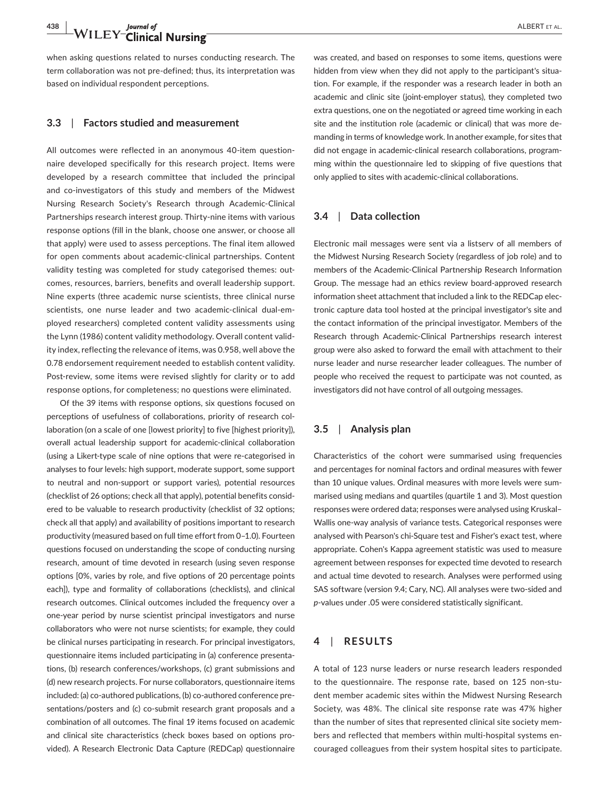## **438 WILEY-Clinical Nursing ALBERT ET AL.** ALBERT ET AL.

when asking questions related to nurses conducting research. The term collaboration was not pre-defined; thus, its interpretation was based on individual respondent perceptions.

#### **3.3**  | **Factors studied and measurement**

All outcomes were reflected in an anonymous 40-item questionnaire developed specifically for this research project. Items were developed by a research committee that included the principal and co-investigators of this study and members of the Midwest Nursing Research Society's Research through Academic-Clinical Partnerships research interest group. Thirty-nine items with various response options (fill in the blank, choose one answer, or choose all that apply) were used to assess perceptions. The final item allowed for open comments about academic-clinical partnerships. Content validity testing was completed for study categorised themes: outcomes, resources, barriers, benefits and overall leadership support. Nine experts (three academic nurse scientists, three clinical nurse scientists, one nurse leader and two academic-clinical dual-employed researchers) completed content validity assessments using the Lynn (1986) content validity methodology. Overall content validity index, reflecting the relevance of items, was 0.958, well above the 0.78 endorsement requirement needed to establish content validity. Post-review, some items were revised slightly for clarity or to add response options, for completeness; no questions were eliminated.

Of the 39 items with response options, six questions focused on perceptions of usefulness of collaborations, priority of research collaboration (on a scale of one [lowest priority] to five [highest priority]), overall actual leadership support for academic-clinical collaboration (using a Likert-type scale of nine options that were re-categorised in analyses to four levels: high support, moderate support, some support to neutral and non-support or support varies), potential resources (checklist of 26 options; check all that apply), potential benefits considered to be valuable to research productivity (checklist of 32 options; check all that apply) and availability of positions important to research productivity (measured based on full time effort from 0–1.0). Fourteen questions focused on understanding the scope of conducting nursing research, amount of time devoted in research (using seven response options [0%, varies by role, and five options of 20 percentage points each]), type and formality of collaborations (checklists), and clinical research outcomes. Clinical outcomes included the frequency over a one-year period by nurse scientist principal investigators and nurse collaborators who were not nurse scientists; for example, they could be clinical nurses participating in research. For principal investigators, questionnaire items included participating in (a) conference presentations, (b) research conferences/workshops, (c) grant submissions and (d) new research projects. For nurse collaborators, questionnaire items included: (a) co-authored publications, (b) co-authored conference presentations/posters and (c) co-submit research grant proposals and a combination of all outcomes. The final 19 items focused on academic and clinical site characteristics (check boxes based on options provided). A Research Electronic Data Capture (REDCap) questionnaire

was created, and based on responses to some items, questions were hidden from view when they did not apply to the participant's situation. For example, if the responder was a research leader in both an academic and clinic site (joint-employer status), they completed two extra questions, one on the negotiated or agreed time working in each site and the institution role (academic or clinical) that was more demanding in terms of knowledge work. In another example, for sites that did not engage in academic-clinical research collaborations, programming within the questionnaire led to skipping of five questions that only applied to sites with academic-clinical collaborations.

#### **3.4**  | **Data collection**

Electronic mail messages were sent via a listserv of all members of the Midwest Nursing Research Society (regardless of job role) and to members of the Academic-Clinical Partnership Research Information Group. The message had an ethics review board-approved research information sheet attachment that included a link to the REDCap electronic capture data tool hosted at the principal investigator's site and the contact information of the principal investigator. Members of the Research through Academic-Clinical Partnerships research interest group were also asked to forward the email with attachment to their nurse leader and nurse researcher leader colleagues. The number of people who received the request to participate was not counted, as investigators did not have control of all outgoing messages.

#### **3.5**  | **Analysis plan**

Characteristics of the cohort were summarised using frequencies and percentages for nominal factors and ordinal measures with fewer than 10 unique values. Ordinal measures with more levels were summarised using medians and quartiles (quartile 1 and 3). Most question responses were ordered data; responses were analysed using Kruskal– Wallis one-way analysis of variance tests. Categorical responses were analysed with Pearson's chi-Square test and Fisher's exact test, where appropriate. Cohen's Kappa agreement statistic was used to measure agreement between responses for expected time devoted to research and actual time devoted to research. Analyses were performed using SAS software (version 9.4; Cary, NC). All analyses were two-sided and *p*-values under .05 were considered statistically significant.

#### **4**  | **RESULTS**

A total of 123 nurse leaders or nurse research leaders responded to the questionnaire. The response rate, based on 125 non-student member academic sites within the Midwest Nursing Research Society, was 48%. The clinical site response rate was 47% higher than the number of sites that represented clinical site society members and reflected that members within multi-hospital systems encouraged colleagues from their system hospital sites to participate.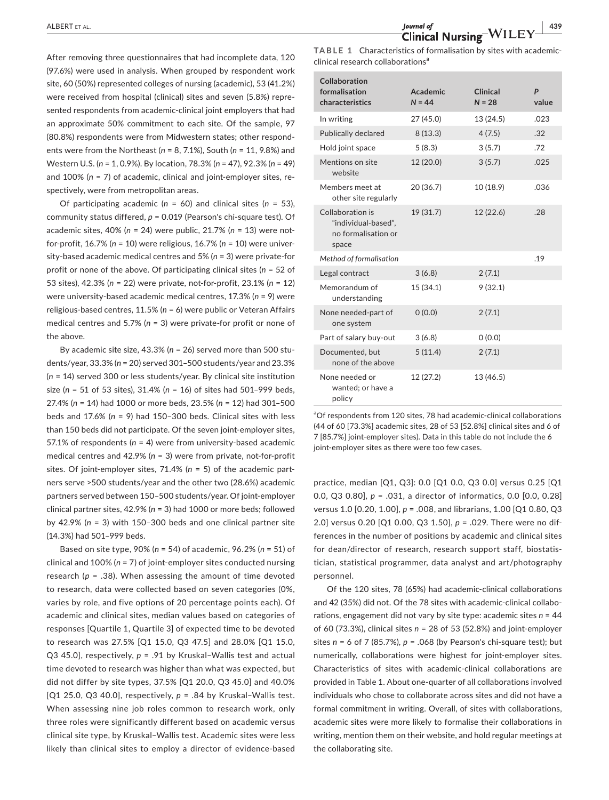After removing three questionnaires that had incomplete data, 120 (97.6%) were used in analysis. When grouped by respondent work site, 60 (50%) represented colleges of nursing (academic), 53 (41.2%) were received from hospital (clinical) sites and seven (5.8%) represented respondents from academic-clinical joint employers that had an approximate 50% commitment to each site. Of the sample, 97 (80.8%) respondents were from Midwestern states; other respondents were from the Northeast (*n* = 8, 7.1%), South (*n* = 11, 9.8%) and Western U.S. (*n* = 1, 0.9%). By location, 78.3% (*n* = 47), 92.3% (*n* = 49) and 100% (*n* = 7) of academic, clinical and joint-employer sites, respectively, were from metropolitan areas.

Of participating academic (*n* = 60) and clinical sites (*n* = 53), community status differed, *p* = 0.019 (Pearson's chi-square test). Of academic sites, 40% (*n* = 24) were public, 21.7% (*n* = 13) were notfor-profit, 16.7% (*n* = 10) were religious, 16.7% (*n* = 10) were university-based academic medical centres and 5% (*n* = 3) were private-for profit or none of the above. Of participating clinical sites (*n* = 52 of 53 sites), 42.3% (*n* = 22) were private, not-for-profit, 23.1% (*n* = 12) were university-based academic medical centres, 17.3% (*n* = 9) were religious-based centres, 11.5% (*n* = 6) were public or Veteran Affairs medical centres and 5.7% (*n* = 3) were private-for profit or none of the above.

By academic site size, 43.3% (*n* = 26) served more than 500 students/year, 33.3% (*n* = 20) served 301–500 students/year and 23.3% (*n* = 14) served 300 or less students/year. By clinical site institution size (*n* = 51 of 53 sites), 31.4% (*n* = 16) of sites had 501–999 beds, 27.4% (*n* = 14) had 1000 or more beds, 23.5% (*n* = 12) had 301–500 beds and 17.6% (*n* = 9) had 150–300 beds. Clinical sites with less than 150 beds did not participate. Of the seven joint-employer sites, 57.1% of respondents (*n* = 4) were from university-based academic medical centres and 42.9% (*n* = 3) were from private, not-for-profit sites. Of joint-employer sites, 71.4% (*n* = 5) of the academic partners serve >500 students/year and the other two (28.6%) academic partners served between 150–500 students/year. Of joint-employer clinical partner sites, 42.9% (*n* = 3) had 1000 or more beds; followed by 42.9% (*n* = 3) with 150–300 beds and one clinical partner site (14.3%) had 501–999 beds.

Based on site type, 90% (*n* = 54) of academic, 96.2% (*n* = 51) of clinical and 100% (*n* = 7) of joint-employer sites conducted nursing research ( $p = .38$ ). When assessing the amount of time devoted to research, data were collected based on seven categories (0%, varies by role, and five options of 20 percentage points each). Of academic and clinical sites, median values based on categories of responses [Quartile 1, Quartile 3] of expected time to be devoted to research was 27.5% [Q1 15.0, Q3 47.5] and 28.0% [Q1 15.0, Q3 45.0], respectively, *p* = .91 by Kruskal–Wallis test and actual time devoted to research was higher than what was expected, but did not differ by site types, 37.5% [Q1 20.0, Q3 45.0] and 40.0% [Q1 25.0, Q3 40.0], respectively, *p* = .84 by Kruskal–Wallis test. When assessing nine job roles common to research work, only three roles were significantly different based on academic versus clinical site type, by Kruskal–Wallis test. Academic sites were less likely than clinical sites to employ a director of evidence-based

**TABLE 1** Characteristics of formalisation by sites with academicclinical research collaborations<sup>a</sup>

| Collaboration<br>formalisation<br>characteristics                       | Academic<br>$N = 44$ | Clinical<br>$N = 28$ | P<br>value |
|-------------------------------------------------------------------------|----------------------|----------------------|------------|
| In writing                                                              | 27 (45.0)            | 13 (24.5)            | .023       |
| <b>Publically declared</b>                                              | 8(13.3)              | 4(7.5)               | .32        |
| Hold joint space                                                        | 5(8.3)               | 3(5.7)               | .72        |
| Mentions on site<br>website                                             | 12 (20.0)            | 3(5.7)               | .025       |
| Members meet at<br>other site regularly                                 | 20 (36.7)            | 10 (18.9)            | .036       |
| Collaboration is<br>"individual-based",<br>no formalisation or<br>space | 19 (31.7)            | 12 (22.6)            | .28        |
| Method of formalisation                                                 |                      |                      | .19        |
| Legal contract                                                          | 3(6.8)               | 2(7.1)               |            |
| Memorandum of<br>understanding                                          | 15 (34.1)            | 9(32.1)              |            |
| None needed-part of<br>one system                                       | 0(0.0)               | 2(7.1)               |            |
| Part of salary buy-out                                                  | 3(6.8)               | 0(0.0)               |            |
| Documented, but<br>none of the above                                    | 5(11.4)              | 2(7.1)               |            |
| None needed or<br>wanted; or have a<br>policy                           | 12 (27.2)            | 13 (46.5)            |            |

<sup>a</sup>Of respondents from 120 sites, 78 had academic-clinical collaborations (44 of 60 [73.3%] academic sites, 28 of 53 [52.8%] clinical sites and 6 of 7 [85.7%] joint-employer sites). Data in this table do not include the 6 joint-employer sites as there were too few cases.

practice, median [Q1, Q3]: 0.0 [Q1 0.0, Q3 0.0] versus 0.25 [Q1 0.0, Q3 0.80], *p* = .031, a director of informatics, 0.0 [0.0, 0.28] versus 1.0 [0.20, 1.00], *p* = .008, and librarians, 1.00 [Q1 0.80, Q3 2.0] versus 0.20 [Q1 0.00, Q3 1.50], *p* = .029. There were no differences in the number of positions by academic and clinical sites for dean/director of research, research support staff, biostatistician, statistical programmer, data analyst and art/photography personnel.

Of the 120 sites, 78 (65%) had academic-clinical collaborations and 42 (35%) did not. Of the 78 sites with academic-clinical collaborations, engagement did not vary by site type: academic sites *n* = 44 of 60 (73.3%), clinical sites *n* = 28 of 53 (52.8%) and joint-employer sites *n* = 6 of 7 (85.7%), *p* = .068 (by Pearson's chi-square test); but numerically, collaborations were highest for joint-employer sites. Characteristics of sites with academic-clinical collaborations are provided in Table 1. About one-quarter of all collaborations involved individuals who chose to collaborate across sites and did not have a formal commitment in writing. Overall, of sites with collaborations, academic sites were more likely to formalise their collaborations in writing, mention them on their website, and hold regular meetings at the collaborating site.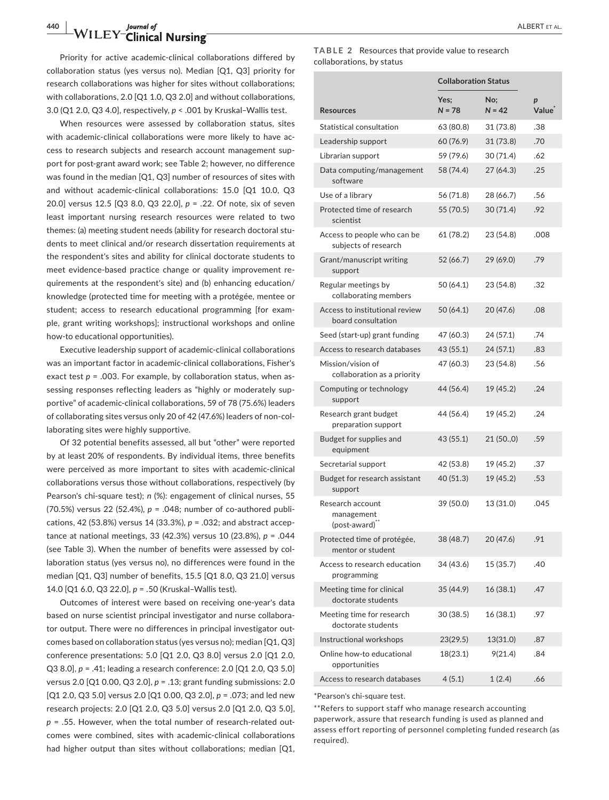## **440 WILEY-Clinical Nursing ALBERT ET AL.**<br> **ALBERT ET AL.**

Priority for active academic-clinical collaborations differed by collaboration status (yes versus no). Median [Q1, Q3] priority for research collaborations was higher for sites without collaborations; with collaborations, 2.0 [Q1 1.0, Q3 2.0] and without collaborations, 3.0 (Q1 2.0, Q3 4.0], respectively, *p* < .001 by Kruskal–Wallis test.

When resources were assessed by collaboration status, sites with academic-clinical collaborations were more likely to have access to research subjects and research account management support for post-grant award work; see Table 2; however, no difference was found in the median [Q1, Q3] number of resources of sites with and without academic-clinical collaborations: 15.0 [Q1 10.0, Q3 20.0] versus 12.5 [Q3 8.0, Q3 22.0], *p* = .22. Of note, six of seven least important nursing research resources were related to two themes: (a) meeting student needs (ability for research doctoral students to meet clinical and/or research dissertation requirements at the respondent's sites and ability for clinical doctorate students to meet evidence-based practice change or quality improvement requirements at the respondent's site) and (b) enhancing education/ knowledge (protected time for meeting with a protégée, mentee or student; access to research educational programming [for example, grant writing workshops]; instructional workshops and online how-to educational opportunities).

Executive leadership support of academic-clinical collaborations was an important factor in academic-clinical collaborations, Fisher's exact test  $p = 0.003$ . For example, by collaboration status, when assessing responses reflecting leaders as "highly or moderately supportive" of academic-clinical collaborations, 59 of 78 (75.6%) leaders of collaborating sites versus only 20 of 42 (47.6%) leaders of non-collaborating sites were highly supportive.

Of 32 potential benefits assessed, all but "other" were reported by at least 20% of respondents. By individual items, three benefits were perceived as more important to sites with academic-clinical collaborations versus those without collaborations, respectively (by Pearson's chi-square test); *n* (%): engagement of clinical nurses, 55 (70.5%) versus 22 (52.4%), *p* = .048; number of co-authored publications, 42 (53.8%) versus 14 (33.3%), *p* = .032; and abstract acceptance at national meetings, 33 (42.3%) versus 10 (23.8%), *p* = .044 (see Table 3). When the number of benefits were assessed by collaboration status (yes versus no), no differences were found in the median [Q1, Q3] number of benefits, 15.5 [Q1 8.0, Q3 21.0] versus 14.0 [Q1 6.0, Q3 22.0], *p* = .50 (Kruskal–Wallis test).

Outcomes of interest were based on receiving one-year's data based on nurse scientist principal investigator and nurse collaborator output. There were no differences in principal investigator outcomes based on collaboration status (yes versus no); median [Q1, Q3] conference presentations: 5.0 [Q1 2.0, Q3 8.0] versus 2.0 [Q1 2.0, Q3 8.0], *p* = .41; leading a research conference: 2.0 [Q1 2.0, Q3 5.0] versus 2.0 [Q1 0.00, Q3 2.0], *p* = .13; grant funding submissions: 2.0 [Q1 2.0, Q3 5.0] versus 2.0 [Q1 0.00, Q3 2.0], *p* = .073; and led new research projects: 2.0 [Q1 2.0, Q3 5.0] versus 2.0 [Q1 2.0, Q3 5.0], *p* = .55. However, when the total number of research-related outcomes were combined, sites with academic-clinical collaborations had higher output than sites without collaborations; median [Q1, **TABLE 2** Resources that provide value to research collaborations, by status

|                                                             | <b>Collaboration Status</b> |                 |            |
|-------------------------------------------------------------|-----------------------------|-----------------|------------|
| Resources                                                   | Yes;<br>$N = 78$            | No;<br>$N = 42$ | p<br>Value |
| Statistical consultation                                    | 63 (80.8)                   | 31 (73.8)       | .38        |
| Leadership support                                          | 60 (76.9)                   | 31 (73.8)       | .70        |
| Librarian support                                           | 59 (79.6)                   | 30 (71.4)       | .62        |
| Data computing/management<br>software                       | 58 (74.4)                   | 27(64.3)        | .25        |
| Use of a librarv                                            | 56 (71.8)                   | 28 (66.7)       | .56        |
| Protected time of research<br>scientist                     | 55 (70.5)                   | 30 (71.4)       | .92        |
| Access to people who can be<br>subjects of research         | 61 (78.2)                   | 23 (54.8)       | .008       |
| Grant/manuscript writing<br>support                         | 52 (66.7)                   | 29 (69.0)       | .79        |
| Regular meetings by<br>collaborating members                | 50 (64.1)                   | 23 (54.8)       | .32        |
| Access to institutional review<br>board consultation        | 50 (64.1)                   | 20 (47.6)       | .08        |
| Seed (start-up) grant funding                               | 47 (60.3)                   | 24 (57.1)       | .74        |
| Access to research databases                                | 43 (55.1)                   | 24(57.1)        | .83        |
| Mission/vision of<br>collaboration as a priority            | 47 (60.3)                   | 23 (54.8)       | .56        |
| Computing or technology<br>support                          | 44 (56.4)                   | 19 (45.2)       | .24        |
| Research grant budget<br>preparation support                | 44 (56.4)                   | 19 (45.2)       | .24        |
| Budget for supplies and<br>equipment                        | 43 (55.1)                   | 21 (50.,0)      | .59        |
| Secretarial support                                         | 42 (53.8)                   | 19 (45.2)       | .37        |
| Budget for research assistant<br>support                    | 40 (51.3)                   | 19 (45.2)       | .53        |
| Research account<br>management<br>(post-award) <sup>"</sup> | 39 (50.0)                   | 13 (31.0)       | .045       |
| Protected time of protégée,<br>mentor or student            | 38 (48.7)                   | 20 (47.6)       | .91        |
| Access to research education<br>programming                 | 34 (43.6)                   | 15 (35.7)       | .40        |
| Meeting time for clinical<br>doctorate students             | 35 (44.9)                   | 16 (38.1)       | .47        |
| Meeting time for research<br>doctorate students             | 30 (38.5)                   | 16 (38.1)       | .97        |
| Instructional workshops                                     | 23(29.5)                    | 13(31.0)        | .87        |
| Online how-to educational<br>opportunities                  | 18(23.1)                    | 9(21.4)         | .84        |
| Access to research databases                                | 4(5.1)                      | 1(2.4)          | .66        |

\*Pearson's chi-square test.

\*\*Refers to support staff who manage research accounting paperwork, assure that research funding is used as planned and assess effort reporting of personnel completing funded research (as required).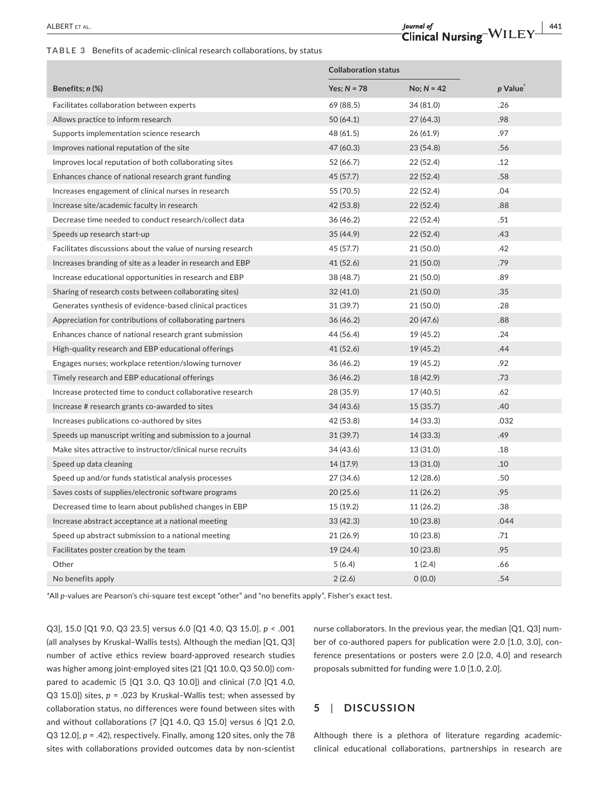#### **TABLE 3** Benefits of academic-clinical research collaborations, by status

|                                                             | <b>Collaboration status</b> |              |         |
|-------------------------------------------------------------|-----------------------------|--------------|---------|
| Benefits; n (%)                                             | Yes; $N = 78$               | $No; N = 42$ | p Value |
| Facilitates collaboration between experts                   | 69 (88.5)                   | 34 (81.0)    | .26     |
| Allows practice to inform research                          | 50 (64.1)                   | 27 (64.3)    | .98     |
| Supports implementation science research                    | 48 (61.5)                   | 26 (61.9)    | .97     |
| Improves national reputation of the site                    | 47 (60.3)                   | 23 (54.8)    | .56     |
| Improves local reputation of both collaborating sites       | 52 (66.7)                   | 22 (52.4)    | .12     |
| Enhances chance of national research grant funding          | 45 (57.7)                   | 22(52.4)     | .58     |
| Increases engagement of clinical nurses in research         | 55 (70.5)                   | 22(52.4)     | .04     |
| Increase site/academic faculty in research                  | 42 (53.8)                   | 22(52.4)     | .88     |
| Decrease time needed to conduct research/collect data       | 36 (46.2)                   | 22 (52.4)    | .51     |
| Speeds up research start-up                                 | 35 (44.9)                   | 22 (52.4)    | .43     |
| Facilitates discussions about the value of nursing research | 45 (57.7)                   | 21 (50.0)    | .42     |
| Increases branding of site as a leader in research and EBP  | 41 (52.6)                   | 21(50.0)     | .79     |
| Increase educational opportunities in research and EBP      | 38 (48.7)                   | 21 (50.0)    | .89     |
| Sharing of research costs between collaborating sites)      | 32 (41.0)                   | 21(50.0)     | .35     |
| Generates synthesis of evidence-based clinical practices    | 31 (39.7)                   | 21(50.0)     | .28     |
| Appreciation for contributions of collaborating partners    | 36(46.2)                    | 20 (47.6)    | .88     |
| Enhances chance of national research grant submission       | 44 (56.4)                   | 19 (45.2)    | .24     |
| High-quality research and EBP educational offerings         | 41 (52.6)                   | 19 (45.2)    | .44     |
| Engages nurses; workplace retention/slowing turnover        | 36 (46.2)                   | 19 (45.2)    | .92     |
| Timely research and EBP educational offerings               | 36(46.2)                    | 18 (42.9)    | .73     |
| Increase protected time to conduct collaborative research   | 28 (35.9)                   | 17 (40.5)    | .62     |
| Increase # research grants co-awarded to sites              | 34 (43.6)                   | 15(35.7)     | .40     |
| Increases publications co-authored by sites                 | 42 (53.8)                   | 14 (33.3)    | .032    |
| Speeds up manuscript writing and submission to a journal    | 31(39.7)                    | 14(33.3)     | .49     |
| Make sites attractive to instructor/clinical nurse recruits | 34 (43.6)                   | 13 (31.0)    | .18     |
| Speed up data cleaning                                      | 14 (17.9)                   | 13(31.0)     | .10     |
| Speed up and/or funds statistical analysis processes        | 27 (34.6)                   | 12(28.6)     | .50     |
| Saves costs of supplies/electronic software programs        | 20(25.6)                    | 11(26.2)     | .95     |
| Decreased time to learn about published changes in EBP      | 15 (19.2)                   | 11(26.2)     | .38     |
| Increase abstract acceptance at a national meeting          | 33(42.3)                    | 10(23.8)     | .044    |
| Speed up abstract submission to a national meeting          | 21 (26.9)                   | 10(23.8)     | .71     |
| Facilitates poster creation by the team                     | 19 (24.4)                   | 10(23.8)     | .95     |
| Other                                                       | 5(6.4)                      | 1(2.4)       | .66     |
| No benefits apply                                           | 2(2.6)                      | 0(0.0)       | .54     |

\*All *p*-values are Pearson's chi-square test except "other" and "no benefits apply", Fisher's exact test.

Q3], 15.0 [Q1 9.0, Q3 23.5] versus 6.0 [Q1 4.0, Q3 15.0], *p* < .001 (all analyses by Kruskal–Wallis tests). Although the median [Q1, Q3] number of active ethics review board-approved research studies was higher among joint-employed sites (21 [Q1 10.0, Q3 50.0]) compared to academic (5 [Q1 3.0, Q3 10.0]) and clinical (7.0 [Q1 4.0, Q3 15.0]) sites, *p* = .023 by Kruskal–Wallis test; when assessed by collaboration status, no differences were found between sites with and without collaborations (7 [Q1 4.0, Q3 15.0] versus 6 [Q1 2.0, Q3 12.0], *p* = .42), respectively. Finally, among 120 sites, only the 78 sites with collaborations provided outcomes data by non-scientist nurse collaborators. In the previous year, the median [Q1, Q3] number of co-authored papers for publication were 2.0 [1.0, 3.0], conference presentations or posters were 2.0 [2.0, 4.0] and research proposals submitted for funding were 1.0 [1.0, 2.0].

### **5**  | **DISCUSSION**

Although there is a plethora of literature regarding academicclinical educational collaborations, partnerships in research are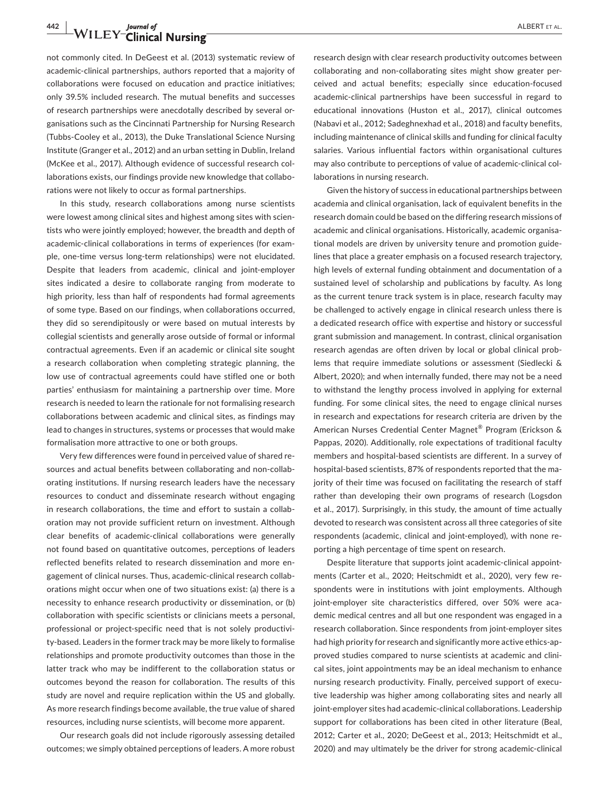# **443 The Second Second Second Second Second Second Second Second Second Second Second Second Second Second Second Second Second Second Second Second Second Second Second Second Second Second Second Second Second Second Sec**

not commonly cited. In DeGeest et al. (2013) systematic review of academic-clinical partnerships, authors reported that a majority of collaborations were focused on education and practice initiatives; only 39.5% included research. The mutual benefits and successes of research partnerships were anecdotally described by several organisations such as the Cincinnati Partnership for Nursing Research (Tubbs-Cooley et al., 2013), the Duke Translational Science Nursing Institute (Granger et al., 2012) and an urban setting in Dublin, Ireland (McKee et al., 2017). Although evidence of successful research collaborations exists, our findings provide new knowledge that collaborations were not likely to occur as formal partnerships.

In this study, research collaborations among nurse scientists were lowest among clinical sites and highest among sites with scientists who were jointly employed; however, the breadth and depth of academic-clinical collaborations in terms of experiences (for example, one-time versus long-term relationships) were not elucidated. Despite that leaders from academic, clinical and joint-employer sites indicated a desire to collaborate ranging from moderate to high priority, less than half of respondents had formal agreements of some type. Based on our findings, when collaborations occurred, they did so serendipitously or were based on mutual interests by collegial scientists and generally arose outside of formal or informal contractual agreements. Even if an academic or clinical site sought a research collaboration when completing strategic planning, the low use of contractual agreements could have stifled one or both parties' enthusiasm for maintaining a partnership over time. More research is needed to learn the rationale for not formalising research collaborations between academic and clinical sites, as findings may lead to changes in structures, systems or processes that would make formalisation more attractive to one or both groups.

Very few differences were found in perceived value of shared resources and actual benefits between collaborating and non-collaborating institutions. If nursing research leaders have the necessary resources to conduct and disseminate research without engaging in research collaborations, the time and effort to sustain a collaboration may not provide sufficient return on investment. Although clear benefits of academic-clinical collaborations were generally not found based on quantitative outcomes, perceptions of leaders reflected benefits related to research dissemination and more engagement of clinical nurses. Thus, academic-clinical research collaborations might occur when one of two situations exist: (a) there is a necessity to enhance research productivity or dissemination, or (b) collaboration with specific scientists or clinicians meets a personal, professional or project-specific need that is not solely productivity-based. Leaders in the former track may be more likely to formalise relationships and promote productivity outcomes than those in the latter track who may be indifferent to the collaboration status or outcomes beyond the reason for collaboration. The results of this study are novel and require replication within the US and globally. As more research findings become available, the true value of shared resources, including nurse scientists, will become more apparent.

Our research goals did not include rigorously assessing detailed outcomes; we simply obtained perceptions of leaders. A more robust

research design with clear research productivity outcomes between collaborating and non-collaborating sites might show greater perceived and actual benefits; especially since education-focused academic-clinical partnerships have been successful in regard to educational innovations (Huston et al., 2017), clinical outcomes (Nabavi et al., 2012; Sadeghnexhad et al., 2018) and faculty benefits, including maintenance of clinical skills and funding for clinical faculty salaries. Various influential factors within organisational cultures may also contribute to perceptions of value of academic-clinical collaborations in nursing research.

Given the history of success in educational partnerships between academia and clinical organisation, lack of equivalent benefits in the research domain could be based on the differing research missions of academic and clinical organisations. Historically, academic organisational models are driven by university tenure and promotion guidelines that place a greater emphasis on a focused research trajectory, high levels of external funding obtainment and documentation of a sustained level of scholarship and publications by faculty. As long as the current tenure track system is in place, research faculty may be challenged to actively engage in clinical research unless there is a dedicated research office with expertise and history or successful grant submission and management. In contrast, clinical organisation research agendas are often driven by local or global clinical problems that require immediate solutions or assessment (Siedlecki & Albert, 2020); and when internally funded, there may not be a need to withstand the lengthy process involved in applying for external funding. For some clinical sites, the need to engage clinical nurses in research and expectations for research criteria are driven by the American Nurses Credential Center Magnet® Program (Erickson & Pappas, 2020). Additionally, role expectations of traditional faculty members and hospital-based scientists are different. In a survey of hospital-based scientists, 87% of respondents reported that the majority of their time was focused on facilitating the research of staff rather than developing their own programs of research (Logsdon et al., 2017). Surprisingly, in this study, the amount of time actually devoted to research was consistent across all three categories of site respondents (academic, clinical and joint-employed), with none reporting a high percentage of time spent on research.

Despite literature that supports joint academic-clinical appointments (Carter et al., 2020; Heitschmidt et al., 2020), very few respondents were in institutions with joint employments. Although joint-employer site characteristics differed, over 50% were academic medical centres and all but one respondent was engaged in a research collaboration. Since respondents from joint-employer sites had high priority for research and significantly more active ethics-approved studies compared to nurse scientists at academic and clinical sites, joint appointments may be an ideal mechanism to enhance nursing research productivity. Finally, perceived support of executive leadership was higher among collaborating sites and nearly all joint-employer sites had academic-clinical collaborations. Leadership support for collaborations has been cited in other literature (Beal, 2012; Carter et al., 2020; DeGeest et al., 2013; Heitschmidt et al., 2020) and may ultimately be the driver for strong academic-clinical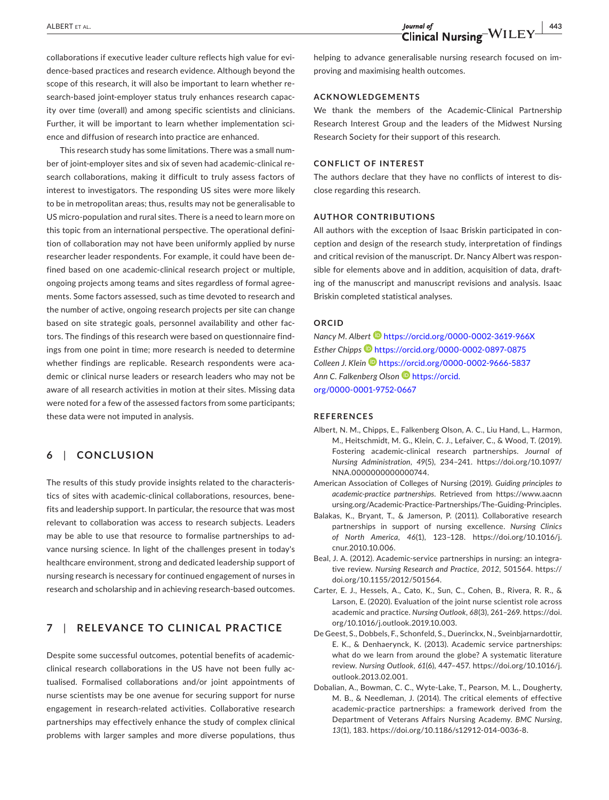collaborations if executive leader culture reflects high value for evidence-based practices and research evidence. Although beyond the scope of this research, it will also be important to learn whether research-based joint-employer status truly enhances research capacity over time (overall) and among specific scientists and clinicians. Further, it will be important to learn whether implementation science and diffusion of research into practice are enhanced.

This research study has some limitations. There was a small number of joint-employer sites and six of seven had academic-clinical research collaborations, making it difficult to truly assess factors of interest to investigators. The responding US sites were more likely to be in metropolitan areas; thus, results may not be generalisable to US micro-population and rural sites. There is a need to learn more on this topic from an international perspective. The operational definition of collaboration may not have been uniformly applied by nurse researcher leader respondents. For example, it could have been defined based on one academic-clinical research project or multiple, ongoing projects among teams and sites regardless of formal agreements. Some factors assessed, such as time devoted to research and the number of active, ongoing research projects per site can change based on site strategic goals, personnel availability and other factors. The findings of this research were based on questionnaire findings from one point in time; more research is needed to determine whether findings are replicable. Research respondents were academic or clinical nurse leaders or research leaders who may not be aware of all research activities in motion at their sites. Missing data were noted for a few of the assessed factors from some participants; these data were not imputed in analysis.

## **6**  | **CONCLUSION**

The results of this study provide insights related to the characteristics of sites with academic-clinical collaborations, resources, benefits and leadership support. In particular, the resource that was most relevant to collaboration was access to research subjects. Leaders may be able to use that resource to formalise partnerships to advance nursing science. In light of the challenges present in today's healthcare environment, strong and dedicated leadership support of nursing research is necessary for continued engagement of nurses in research and scholarship and in achieving research-based outcomes.

## **7**  | **RELEVANCE TO CLINICAL PRACTICE**

Despite some successful outcomes, potential benefits of academicclinical research collaborations in the US have not been fully actualised. Formalised collaborations and/or joint appointments of nurse scientists may be one avenue for securing support for nurse engagement in research-related activities. Collaborative research partnerships may effectively enhance the study of complex clinical problems with larger samples and more diverse populations, thus

helping to advance generalisable nursing research focused on improving and maximising health outcomes.

#### **ACKNOWLEDGEMENTS**

We thank the members of the Academic-Clinical Partnership Research Interest Group and the leaders of the Midwest Nursing Research Society for their support of this research.

#### **CONFLICT OF INTEREST**

The authors declare that they have no conflicts of interest to disclose regarding this research.

#### **AUTHOR CONTRIBUTIONS**

All authors with the exception of Isaac Briskin participated in conception and design of the research study, interpretation of findings and critical revision of the manuscript. Dr. Nancy Albert was responsible for elements above and in addition, acquisition of data, drafting of the manuscript and manuscript revisions and analysis. Isaac Briskin completed statistical analyses.

#### **ORCID**

*Nancy M. Albert* <https://orcid.org/0000-0002-3619-966X> *Esther Chipps* <https://orcid.org/0000-0002-0897-0875> *Colleen J. Klein* <https://orcid.org/0000-0002-9666-5837> *Ann C. Falkenberg Olson* [https://orcid.](https://orcid.org/0000-0001-9752-0667) [org/0000-0001-9752-0667](https://orcid.org/0000-0001-9752-0667)

#### **REFERENCES**

- Albert, N. M., Chipps, E., Falkenberg Olson, A. C., Liu Hand, L., Harmon, M., Heitschmidt, M. G., Klein, C. J., Lefaiver, C., & Wood, T. (2019). Fostering academic-clinical research partnerships. *Journal of Nursing Administration*, *49*(5), 234–241. [https://doi.org/10.1097/](https://doi.org/10.1097/NNA.0000000000000744) [NNA.0000000000000744.](https://doi.org/10.1097/NNA.0000000000000744)
- American Association of Colleges of Nursing (2019). *Guiding principles to academic-practice partnerships*. Retrieved from [https://www.aacnn](https://www.aacnnursing.org/Academic-Practice-Partnerships/The-Guiding-Principles) [ursing.org/Academic-Practice-Partnerships/The-Guiding-Principles](https://www.aacnnursing.org/Academic-Practice-Partnerships/The-Guiding-Principles).
- Balakas, K., Bryant, T., & Jamerson, P. (2011). Collaborative research partnerships in support of nursing excellence. *Nursing Clinics of North America*, *46*(1), 123–128. [https://doi.org/10.1016/j.](https://doi.org/10.1016/j.cnur.2010.10.006) [cnur.2010.10.006](https://doi.org/10.1016/j.cnur.2010.10.006).
- Beal, J. A. (2012). Academic-service partnerships in nursing: an integrative review. *Nursing Research and Practice*, *2012*, 501564. [https://](https://doi.org/10.1155/2012/501564) [doi.org/10.1155/2012/501564](https://doi.org/10.1155/2012/501564).
- Carter, E. J., Hessels, A., Cato, K., Sun, C., Cohen, B., Rivera, R. R., & Larson, E. (2020). Evaluation of the joint nurse scientist role across academic and practice. *Nursing Outlook*, *68*(3), 261–269. [https://doi.](https://doi.org/10.1016/j.outlook.2019.10.003) [org/10.1016/j.outlook.2019.10.003](https://doi.org/10.1016/j.outlook.2019.10.003).
- De Geest, S., Dobbels, F., Schonfeld, S., Duerinckx, N., Sveinbjarnardottir, E. K., & Denhaerynck, K. (2013). Academic service partnerships: what do we learn from around the globe? A systematic literature review. *Nursing Outlook*, *61*(6), 447–457. [https://doi.org/10.1016/j.](https://doi.org/10.1016/j.outlook.2013.02.001) [outlook.2013.02.001](https://doi.org/10.1016/j.outlook.2013.02.001).
- Dobalian, A., Bowman, C. C., Wyte-Lake, T., Pearson, M. L., Dougherty, M. B., & Needleman, J. (2014). The critical elements of effective academic-practice partnerships: a framework derived from the Department of Veterans Affairs Nursing Academy. *BMC Nursing*, *13*(1), 183.<https://doi.org/10.1186/s12912-014-0036-8>.